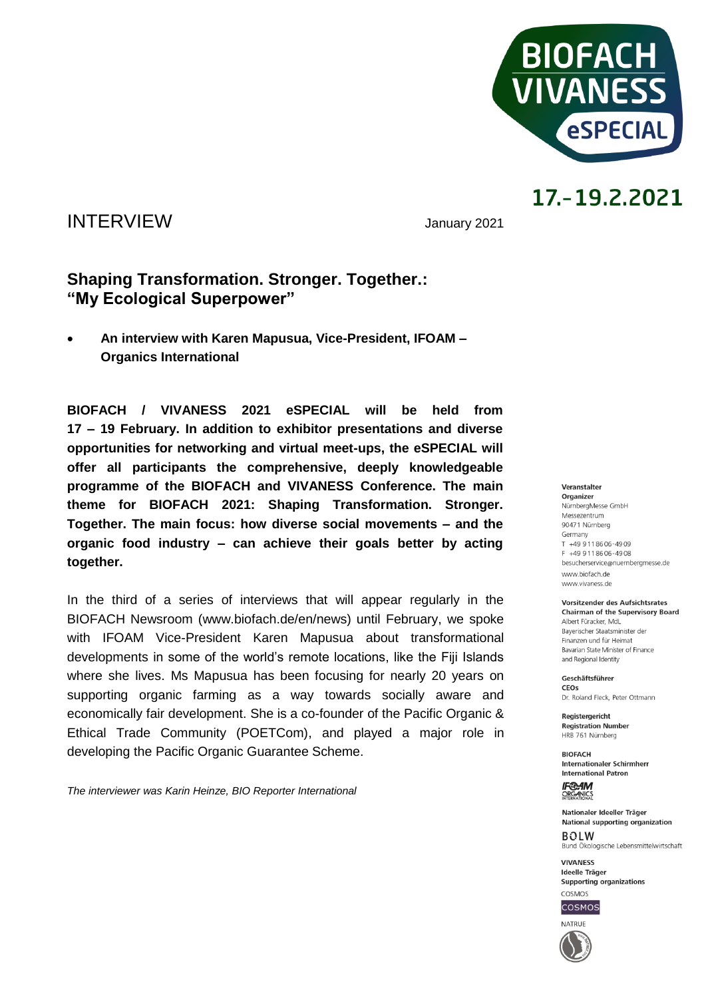

### INTERVIEW January <sup>2021</sup>

### **Shaping Transformation. Stronger. Together.: "My Ecological Superpower"**

 **An interview with Karen Mapusua, Vice-President, IFOAM – Organics International** 

**BIOFACH / VIVANESS 2021 eSPECIAL will be held from 17 – 19 February. In addition to exhibitor presentations and diverse opportunities for networking and virtual meet-ups, the eSPECIAL will offer all participants the comprehensive, deeply knowledgeable programme of the BIOFACH and VIVANESS Conference. The main theme for BIOFACH 2021: Shaping Transformation. Stronger. Together. The main focus: how diverse social movements – and the organic food industry – can achieve their goals better by acting together.** 

In the third of a series of interviews that will appear regularly in the BIOFACH Newsroom (www.biofach.de/en/news) until February, we spoke with IFOAM Vice-President Karen Mapusua about transformational developments in some of the world's remote locations, like the Fiji Islands where she lives. Ms Mapusua has been focusing for nearly 20 years on supporting organic farming as a way towards socially aware and economically fair development. She is a co-founder of the Pacific Organic & Ethical Trade Community (POETCom), and played a major role in developing the Pacific Organic Guarantee Scheme.

*The interviewer was Karin Heinze, BIO Reporter International*

#### Veranstalter Organizer

NürnbergMesse GmbH Messezentrum 90471 Nürnberg Germany  $T + 499118606 - 4909$ F +49 9 11 86 06 - 49 08 besucherservice@nuernbergmesse.de www.biofach.de www.vivaness.de

Vorsitzender des Aufsichtsrates **Chairman of the Supervisory Board** Albert Füracker, MdL

Bayerischer Staatsminister der Finanzen und für Heimat Bavarian State Minister of Finance and Regional Identity

Geschäftsführer CEOS Dr. Roland Eleck, Peter Ottmann

Registergericht **Registration Number** HRB 761 Nürnberg

**BIOFACH** Internationaler Schirmherr **International Patron** 

**IF®AM** ORGANICS

Nationaler Ideeller Träger National supporting organization  $ROIM$ 

Bund Ökologische Lebensmittelwirtschaft **VIVANESS** 

Ideelle Träger Supporting organizations COSMOS



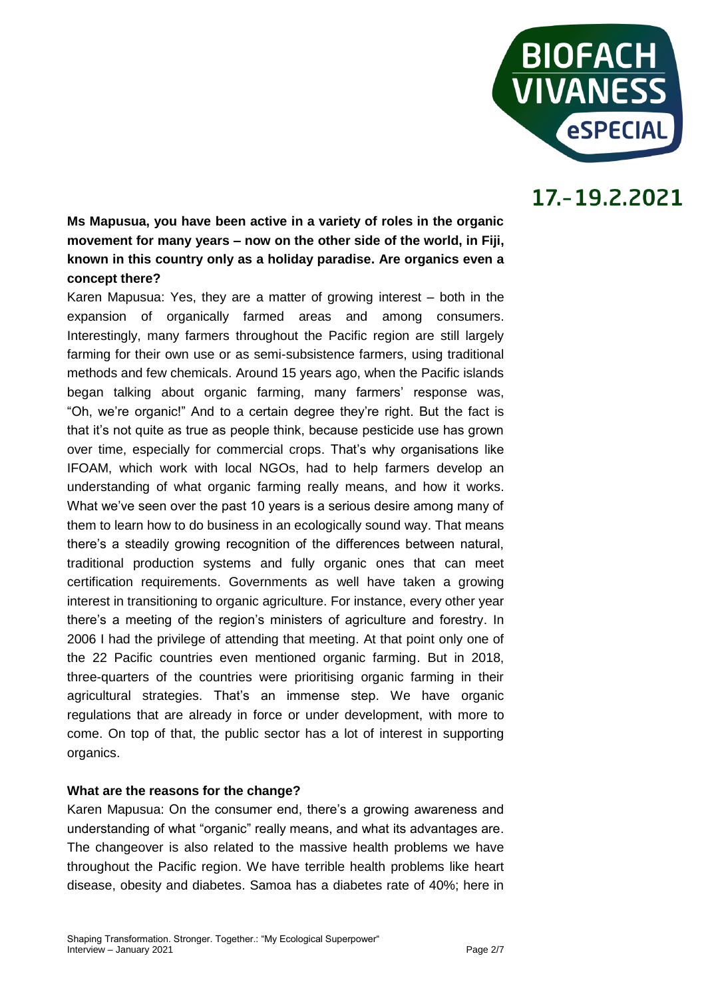

**Ms Mapusua, you have been active in a variety of roles in the organic movement for many years – now on the other side of the world, in Fiji, known in this country only as a holiday paradise. Are organics even a concept there?** 

Karen Mapusua: Yes, they are a matter of growing interest – both in the expansion of organically farmed areas and among consumers. Interestingly, many farmers throughout the Pacific region are still largely farming for their own use or as semi-subsistence farmers, using traditional methods and few chemicals. Around 15 years ago, when the Pacific islands began talking about organic farming, many farmers' response was, "Oh, we're organic!" And to a certain degree they're right. But the fact is that it's not quite as true as people think, because pesticide use has grown over time, especially for commercial crops. That's why organisations like IFOAM, which work with local NGOs, had to help farmers develop an understanding of what organic farming really means, and how it works. What we've seen over the past 10 years is a serious desire among many of them to learn how to do business in an ecologically sound way. That means there's a steadily growing recognition of the differences between natural, traditional production systems and fully organic ones that can meet certification requirements. Governments as well have taken a growing interest in transitioning to organic agriculture. For instance, every other year there's a meeting of the region's ministers of agriculture and forestry. In 2006 I had the privilege of attending that meeting. At that point only one of the 22 Pacific countries even mentioned organic farming. But in 2018, three-quarters of the countries were prioritising organic farming in their agricultural strategies. That's an immense step. We have organic regulations that are already in force or under development, with more to come. On top of that, the public sector has a lot of interest in supporting organics.

#### **What are the reasons for the change?**

Karen Mapusua: On the consumer end, there's a growing awareness and understanding of what "organic" really means, and what its advantages are. The changeover is also related to the massive health problems we have throughout the Pacific region. We have terrible health problems like heart disease, obesity and diabetes. Samoa has a diabetes rate of 40%; here in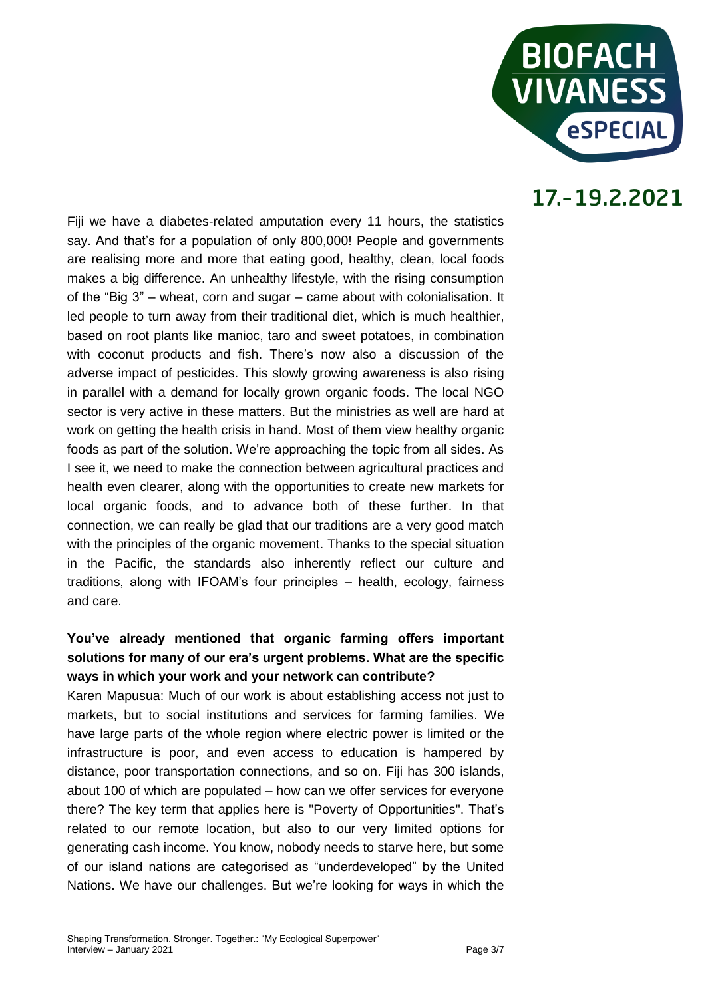

Fiji we have a diabetes-related amputation every 11 hours, the statistics say. And that's for a population of only 800,000! People and governments are realising more and more that eating good, healthy, clean, local foods makes a big difference. An unhealthy lifestyle, with the rising consumption of the "Big 3" – wheat, corn and sugar – came about with colonialisation. It led people to turn away from their traditional diet, which is much healthier, based on root plants like manioc, taro and sweet potatoes, in combination with coconut products and fish. There's now also a discussion of the adverse impact of pesticides. This slowly growing awareness is also rising in parallel with a demand for locally grown organic foods. The local NGO sector is very active in these matters. But the ministries as well are hard at work on getting the health crisis in hand. Most of them view healthy organic foods as part of the solution. We're approaching the topic from all sides. As I see it, we need to make the connection between agricultural practices and health even clearer, along with the opportunities to create new markets for local organic foods, and to advance both of these further. In that connection, we can really be glad that our traditions are a very good match with the principles of the organic movement. Thanks to the special situation in the Pacific, the standards also inherently reflect our culture and traditions, along with IFOAM's four principles – health, ecology, fairness and care.

### **You've already mentioned that organic farming offers important solutions for many of our era's urgent problems. What are the specific ways in which your work and your network can contribute?**

Karen Mapusua: Much of our work is about establishing access not just to markets, but to social institutions and services for farming families. We have large parts of the whole region where electric power is limited or the infrastructure is poor, and even access to education is hampered by distance, poor transportation connections, and so on. Fiji has 300 islands, about 100 of which are populated – how can we offer services for everyone there? The key term that applies here is "Poverty of Opportunities". That's related to our remote location, but also to our very limited options for generating cash income. You know, nobody needs to starve here, but some of our island nations are categorised as "underdeveloped" by the United Nations. We have our challenges. But we're looking for ways in which the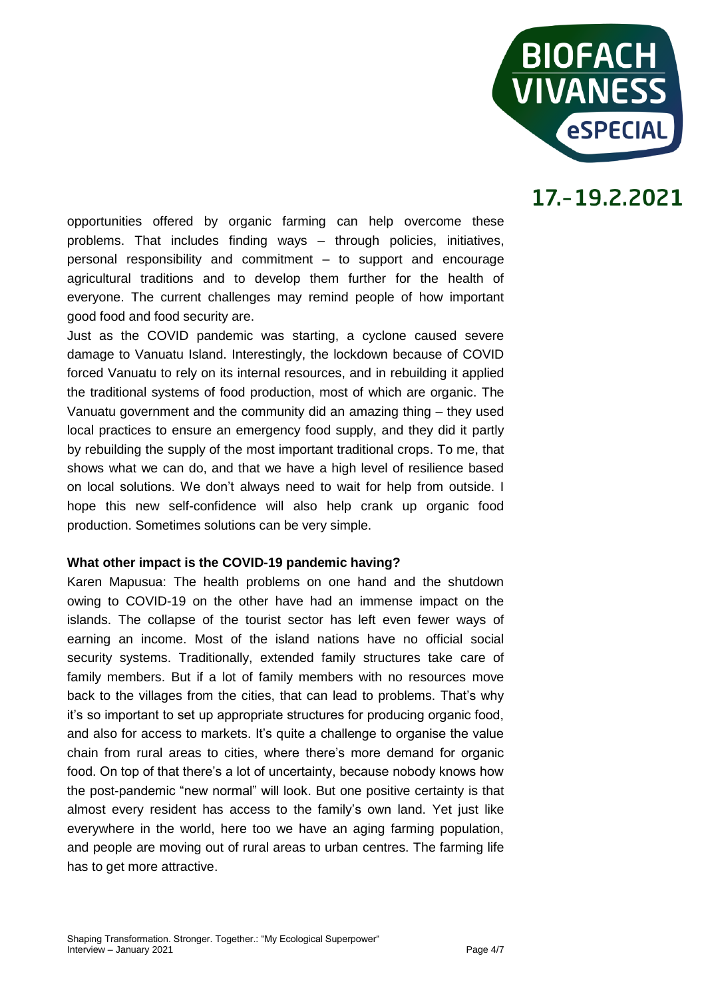

opportunities offered by organic farming can help overcome these problems. That includes finding ways – through policies, initiatives, personal responsibility and commitment – to support and encourage agricultural traditions and to develop them further for the health of everyone. The current challenges may remind people of how important good food and food security are.

Just as the COVID pandemic was starting, a cyclone caused severe damage to Vanuatu Island. Interestingly, the lockdown because of COVID forced Vanuatu to rely on its internal resources, and in rebuilding it applied the traditional systems of food production, most of which are organic. The Vanuatu government and the community did an amazing thing – they used local practices to ensure an emergency food supply, and they did it partly by rebuilding the supply of the most important traditional crops. To me, that shows what we can do, and that we have a high level of resilience based on local solutions. We don't always need to wait for help from outside. I hope this new self-confidence will also help crank up organic food production. Sometimes solutions can be very simple.

#### **What other impact is the COVID-19 pandemic having?**

Karen Mapusua: The health problems on one hand and the shutdown owing to COVID-19 on the other have had an immense impact on the islands. The collapse of the tourist sector has left even fewer ways of earning an income. Most of the island nations have no official social security systems. Traditionally, extended family structures take care of family members. But if a lot of family members with no resources move back to the villages from the cities, that can lead to problems. That's why it's so important to set up appropriate structures for producing organic food, and also for access to markets. It's quite a challenge to organise the value chain from rural areas to cities, where there's more demand for organic food. On top of that there's a lot of uncertainty, because nobody knows how the post-pandemic "new normal" will look. But one positive certainty is that almost every resident has access to the family's own land. Yet just like everywhere in the world, here too we have an aging farming population, and people are moving out of rural areas to urban centres. The farming life has to get more attractive.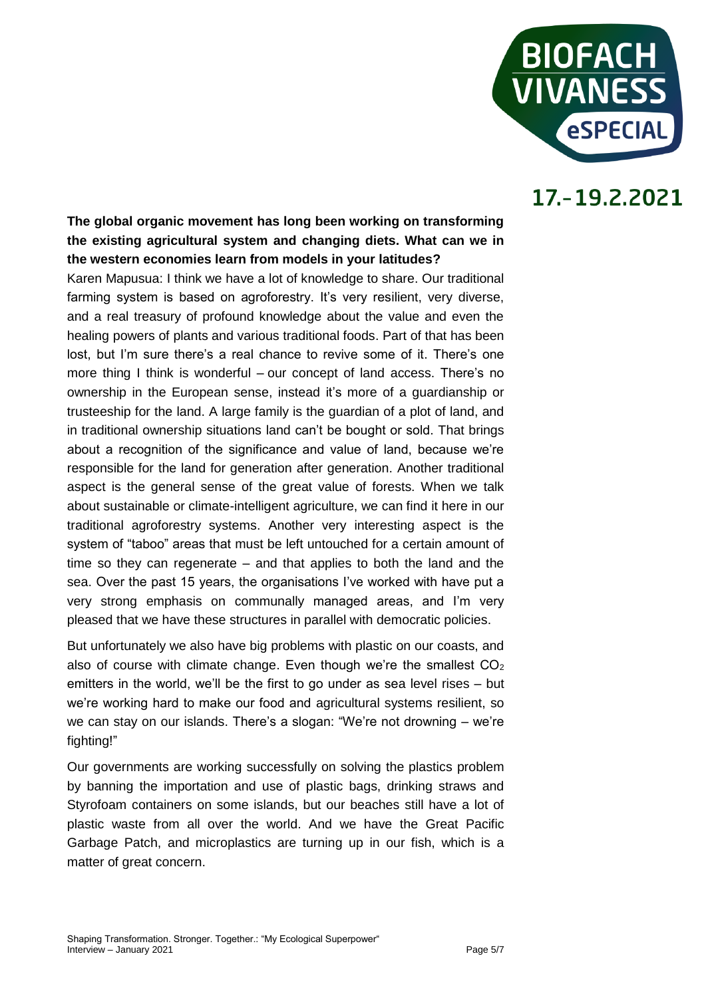

### **The global organic movement has long been working on transforming the existing agricultural system and changing diets. What can we in the western economies learn from models in your latitudes?**

Karen Mapusua: I think we have a lot of knowledge to share. Our traditional farming system is based on agroforestry. It's very resilient, very diverse, and a real treasury of profound knowledge about the value and even the healing powers of plants and various traditional foods. Part of that has been lost, but I'm sure there's a real chance to revive some of it. There's one more thing I think is wonderful – our concept of land access. There's no ownership in the European sense, instead it's more of a guardianship or trusteeship for the land. A large family is the guardian of a plot of land, and in traditional ownership situations land can't be bought or sold. That brings about a recognition of the significance and value of land, because we're responsible for the land for generation after generation. Another traditional aspect is the general sense of the great value of forests. When we talk about sustainable or climate-intelligent agriculture, we can find it here in our traditional agroforestry systems. Another very interesting aspect is the system of "taboo" areas that must be left untouched for a certain amount of time so they can regenerate – and that applies to both the land and the sea. Over the past 15 years, the organisations I've worked with have put a very strong emphasis on communally managed areas, and I'm very pleased that we have these structures in parallel with democratic policies.

But unfortunately we also have big problems with plastic on our coasts, and also of course with climate change. Even though we're the smallest  $CO<sub>2</sub>$ emitters in the world, we'll be the first to go under as sea level rises – but we're working hard to make our food and agricultural systems resilient, so we can stay on our islands. There's a slogan: "We're not drowning – we're fighting!"

Our governments are working successfully on solving the plastics problem by banning the importation and use of plastic bags, drinking straws and Styrofoam containers on some islands, but our beaches still have a lot of plastic waste from all over the world. And we have the Great Pacific Garbage Patch, and microplastics are turning up in our fish, which is a matter of great concern.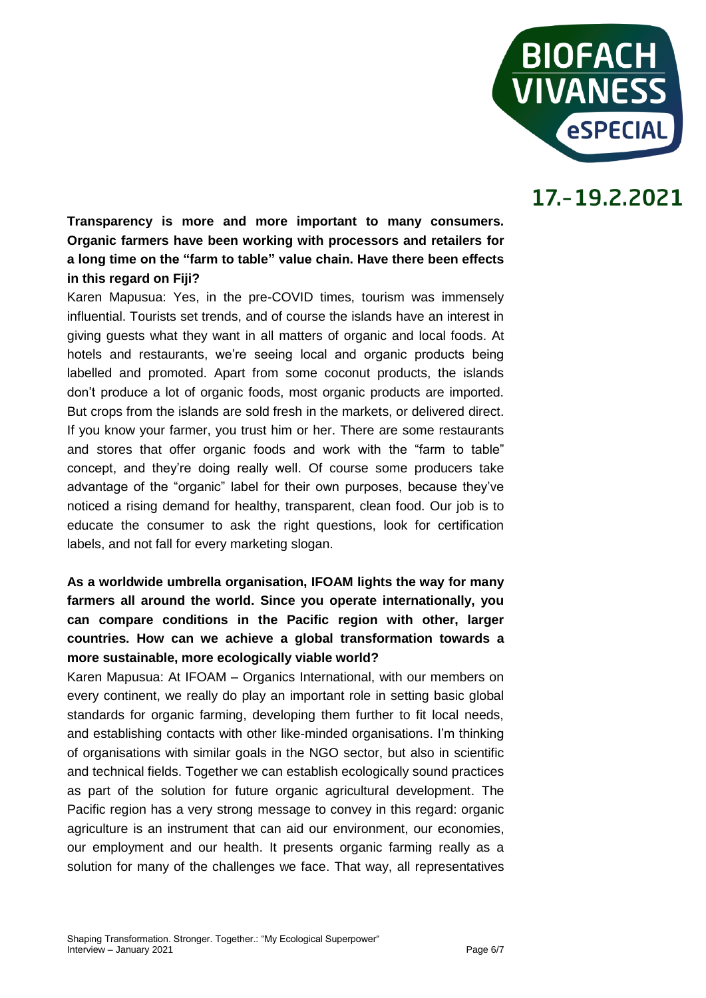

**Transparency is more and more important to many consumers. Organic farmers have been working with processors and retailers for a long time on the "farm to table" value chain. Have there been effects in this regard on Fiji?** 

Karen Mapusua: Yes, in the pre-COVID times, tourism was immensely influential. Tourists set trends, and of course the islands have an interest in giving guests what they want in all matters of organic and local foods. At hotels and restaurants, we're seeing local and organic products being labelled and promoted. Apart from some coconut products, the islands don't produce a lot of organic foods, most organic products are imported. But crops from the islands are sold fresh in the markets, or delivered direct. If you know your farmer, you trust him or her. There are some restaurants and stores that offer organic foods and work with the "farm to table" concept, and they're doing really well. Of course some producers take advantage of the "organic" label for their own purposes, because they've noticed a rising demand for healthy, transparent, clean food. Our job is to educate the consumer to ask the right questions, look for certification labels, and not fall for every marketing slogan.

### **As a worldwide umbrella organisation, IFOAM lights the way for many farmers all around the world. Since you operate internationally, you can compare conditions in the Pacific region with other, larger countries. How can we achieve a global transformation towards a more sustainable, more ecologically viable world?**

Karen Mapusua: At IFOAM – Organics International, with our members on every continent, we really do play an important role in setting basic global standards for organic farming, developing them further to fit local needs, and establishing contacts with other like-minded organisations. I'm thinking of organisations with similar goals in the NGO sector, but also in scientific and technical fields. Together we can establish ecologically sound practices as part of the solution for future organic agricultural development. The Pacific region has a very strong message to convey in this regard: organic agriculture is an instrument that can aid our environment, our economies, our employment and our health. It presents organic farming really as a solution for many of the challenges we face. That way, all representatives